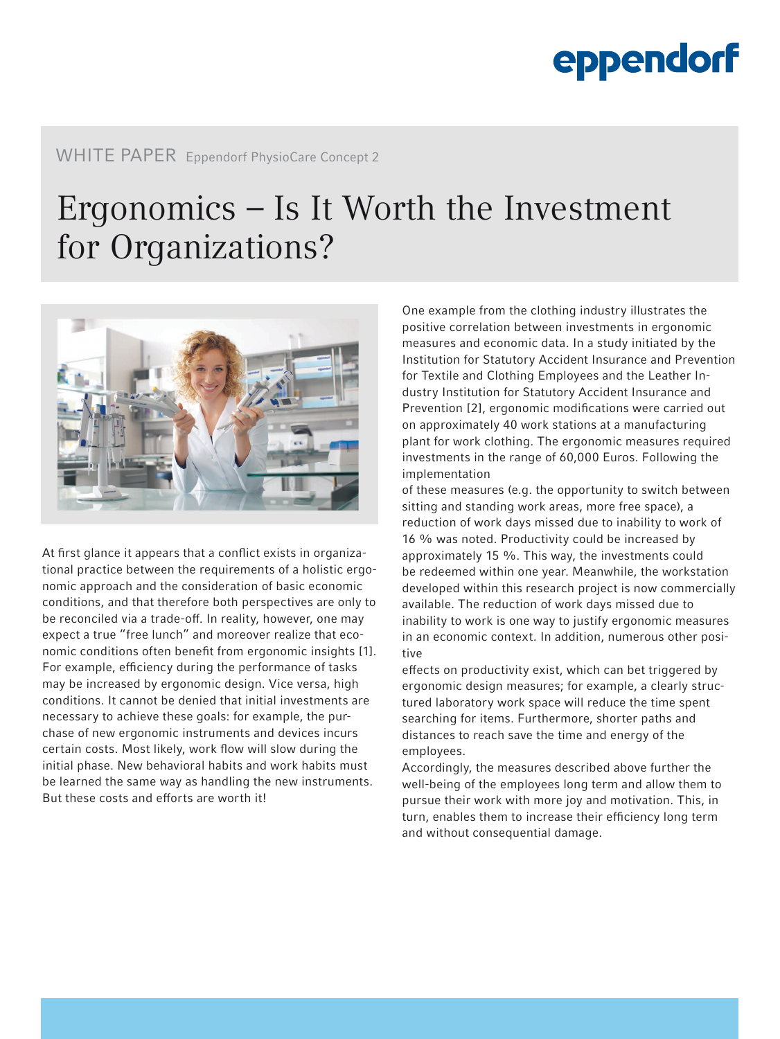# eppendorf

### WHITE PAPER Eppendorf PhysioCare Concept 2

## Ergonomics – Is It Worth the Investment for Organizations?



At first glance it appears that a conflict exists in organizational practice between the requirements of a holistic ergonomic approach and the consideration of basic economic conditions, and that therefore both perspectives are only to be reconciled via a trade-off. In reality, however, one may expect a true "free lunch" and moreover realize that economic conditions often benefit from ergonomic insights [1]. For example, efficiency during the performance of tasks may be increased by ergonomic design. Vice versa, high conditions. It cannot be denied that initial investments are necessary to achieve these goals: for example, the purchase of new ergonomic instruments and devices incurs certain costs. Most likely, work flow will slow during the initial phase. New behavioral habits and work habits must be learned the same way as handling the new instruments. But these costs and efforts are worth it!

One example from the clothing industry illustrates the positive correlation between investments in ergonomic measures and economic data. In a study initiated by the Institution for Statutory Accident Insurance and Prevention for Textile and Clothing Employees and the Leather Industry Institution for Statutory Accident Insurance and Prevention [2], ergonomic modifications were carried out on approximately 40 work stations at a manufacturing plant for work clothing. The ergonomic measures required investments in the range of 60,000 Euros. Following the implementation

of these measures (e.g. the opportunity to switch between sitting and standing work areas, more free space), a reduction of work days missed due to inability to work of 16 % was noted. Productivity could be increased by approximately 15 %. This way, the investments could be redeemed within one year. Meanwhile, the workstation developed within this research project is now commercially available. The reduction of work days missed due to inability to work is one way to justify ergonomic measures in an economic context. In addition, numerous other positive

effects on productivity exist, which can bet triggered by ergonomic design measures; for example, a clearly structured laboratory work space will reduce the time spent searching for items. Furthermore, shorter paths and distances to reach save the time and energy of the employees.

Accordingly, the measures described above further the well-being of the employees long term and allow them to pursue their work with more joy and motivation. This, in turn, enables them to increase their efficiency long term and without consequential damage.